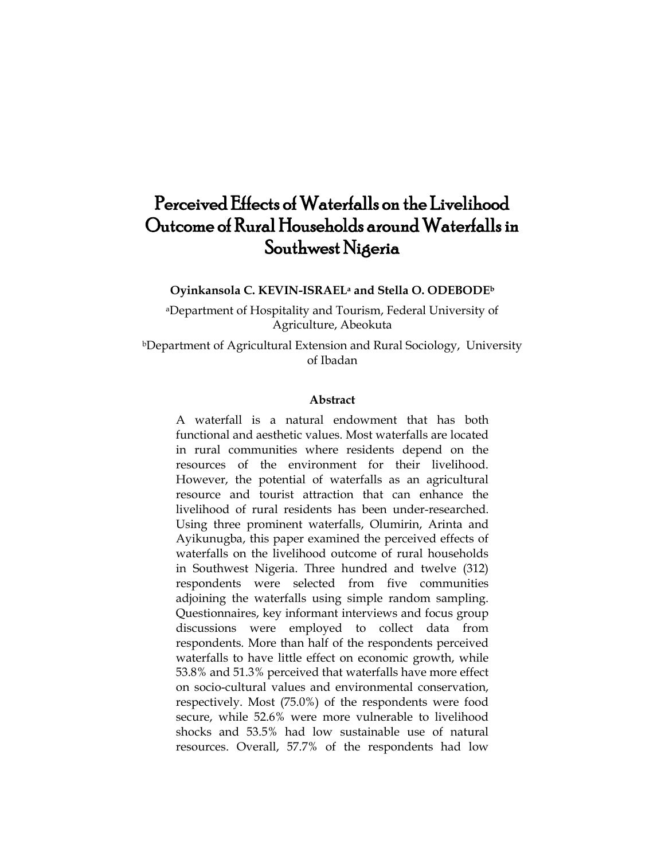# Perceived Effects of Waterfalls on the Livelihood Outcome of Rural Households around Waterfalls in Southwest Nigeria

**Oyinkansola C. KEVIN-ISRAEL<sup>a</sup> and Stella O. ODEBODE<sup>b</sup>**

<sup>a</sup>Department of Hospitality and Tourism, Federal University of Agriculture, Abeokuta

<sup>b</sup>Department of Agricultural Extension and Rural Sociology, University of Ibadan

#### **Abstract**

A waterfall is a natural endowment that has both functional and aesthetic values. Most waterfalls are located in rural communities where residents depend on the resources of the environment for their livelihood. However, the potential of waterfalls as an agricultural resource and tourist attraction that can enhance the livelihood of rural residents has been under-researched. Using three prominent waterfalls, Olumirin, Arinta and Ayikunugba, this paper examined the perceived effects of waterfalls on the livelihood outcome of rural households in Southwest Nigeria. Three hundred and twelve (312) respondents were selected from five communities adjoining the waterfalls using simple random sampling. Questionnaires, key informant interviews and focus group discussions were employed to collect data from respondents. More than half of the respondents perceived waterfalls to have little effect on economic growth, while 53.8% and 51.3% perceived that waterfalls have more effect on socio-cultural values and environmental conservation, respectively. Most (75.0%) of the respondents were food secure, while 52.6% were more vulnerable to livelihood shocks and 53.5% had low sustainable use of natural resources. Overall, 57.7% of the respondents had low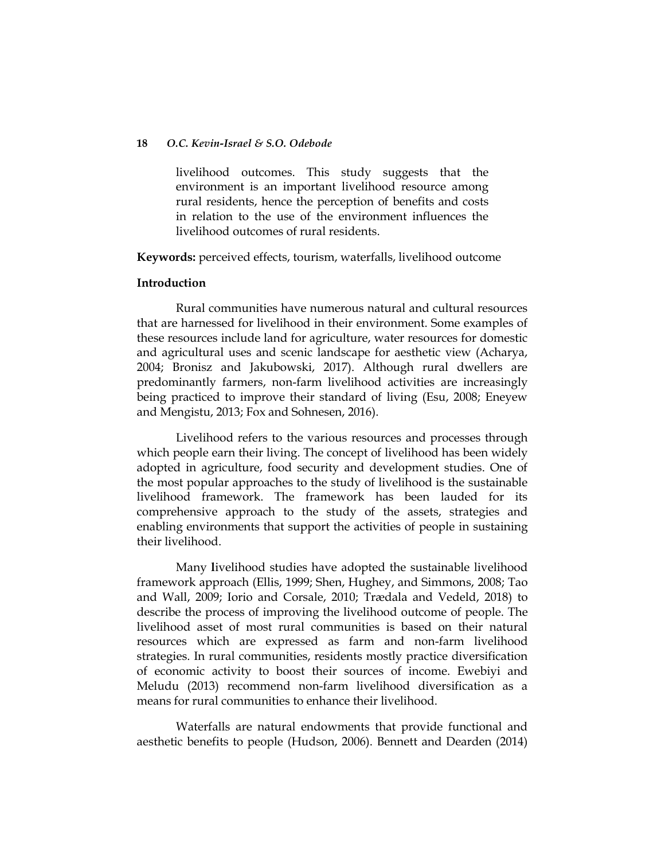livelihood outcomes. This study suggests that the environment is an important livelihood resource among rural residents, hence the perception of benefits and costs in relation to the use of the environment influences the livelihood outcomes of rural residents.

**Keywords:** perceived effects, tourism, waterfalls, livelihood outcome

## **Introduction**

Rural communities have numerous natural and cultural resources that are harnessed for livelihood in their environment. Some examples of these resources include land for agriculture, water resources for domestic and agricultural uses and scenic landscape for aesthetic view (Acharya, 2004; Bronisz and Jakubowski, 2017). Although rural dwellers are predominantly farmers, non-farm livelihood activities are increasingly being practiced to improve their standard of living (Esu, 2008; Eneyew and Mengistu, 2013; Fox and Sohnesen, 2016).

Livelihood refers to the various resources and processes through which people earn their living. The concept of livelihood has been widely adopted in agriculture, food security and development studies. One of the most popular approaches to the study of livelihood is the sustainable livelihood framework. The framework has been lauded for its comprehensive approach to the study of the assets, strategies and enabling environments that support the activities of people in sustaining their livelihood.

Many **l**ivelihood studies have adopted the sustainable livelihood framework approach (Ellis, 1999; Shen, Hughey, and Simmons, 2008; Tao and Wall, 2009; Iorio and Corsale, 2010; Trædala and Vedeld, 2018) to describe the process of improving the livelihood outcome of people. The livelihood asset of most rural communities is based on their natural resources which are expressed as farm and non-farm livelihood strategies. In rural communities, residents mostly practice diversification of economic activity to boost their sources of income. Ewebiyi and Meludu (2013) recommend non-farm livelihood diversification as a means for rural communities to enhance their livelihood.

Waterfalls are natural endowments that provide functional and aesthetic benefits to people (Hudson, 2006). Bennett and Dearden (2014)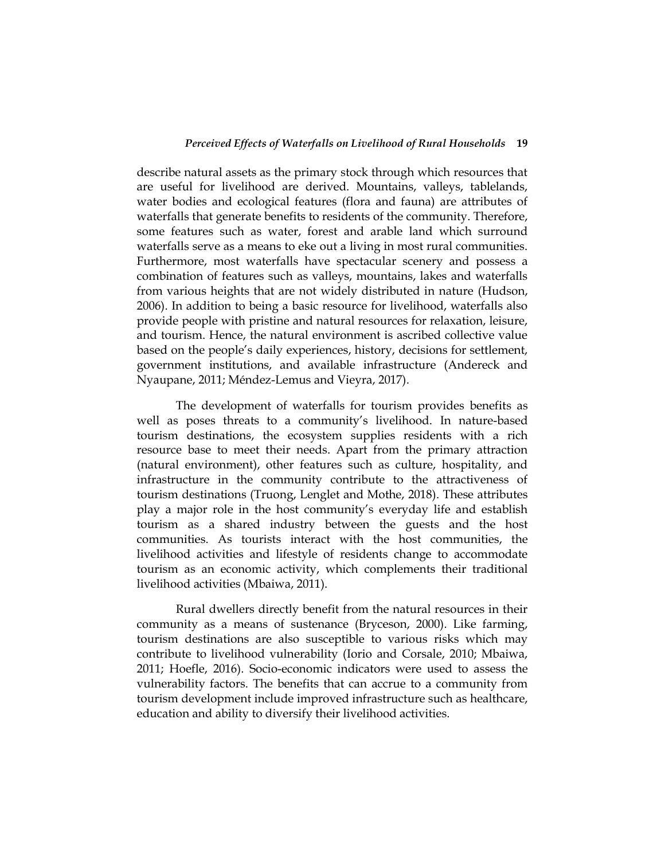describe natural assets as the primary stock through which resources that are useful for livelihood are derived. Mountains, valleys, tablelands, water bodies and ecological features (flora and fauna) are attributes of waterfalls that generate benefits to residents of the community. Therefore, some features such as water, forest and arable land which surround waterfalls serve as a means to eke out a living in most rural communities. Furthermore, most waterfalls have spectacular scenery and possess a combination of features such as valleys, mountains, lakes and waterfalls from various heights that are not widely distributed in nature (Hudson, 2006). In addition to being a basic resource for livelihood, waterfalls also provide people with pristine and natural resources for relaxation, leisure, and tourism. Hence, the natural environment is ascribed collective value based on the people"s daily experiences, history, decisions for settlement, government institutions, and available infrastructure (Andereck and Nyaupane, 2011; Méndez-Lemus and Vieyra, 2017).

The development of waterfalls for tourism provides benefits as well as poses threats to a community's livelihood. In nature-based tourism destinations, the ecosystem supplies residents with a rich resource base to meet their needs. Apart from the primary attraction (natural environment), other features such as culture, hospitality, and infrastructure in the community contribute to the attractiveness of tourism destinations (Truong, Lenglet and Mothe, 2018). These attributes play a major role in the host community's everyday life and establish tourism as a shared industry between the guests and the host communities. As tourists interact with the host communities, the livelihood activities and lifestyle of residents change to accommodate tourism as an economic activity, which complements their traditional livelihood activities (Mbaiwa, 2011).

Rural dwellers directly benefit from the natural resources in their community as a means of sustenance (Bryceson, 2000). Like farming, tourism destinations are also susceptible to various risks which may contribute to livelihood vulnerability (Iorio and Corsale, 2010; Mbaiwa, 2011; Hoefle, 2016). Socio-economic indicators were used to assess the vulnerability factors. The benefits that can accrue to a community from tourism development include improved infrastructure such as healthcare, education and ability to diversify their livelihood activities.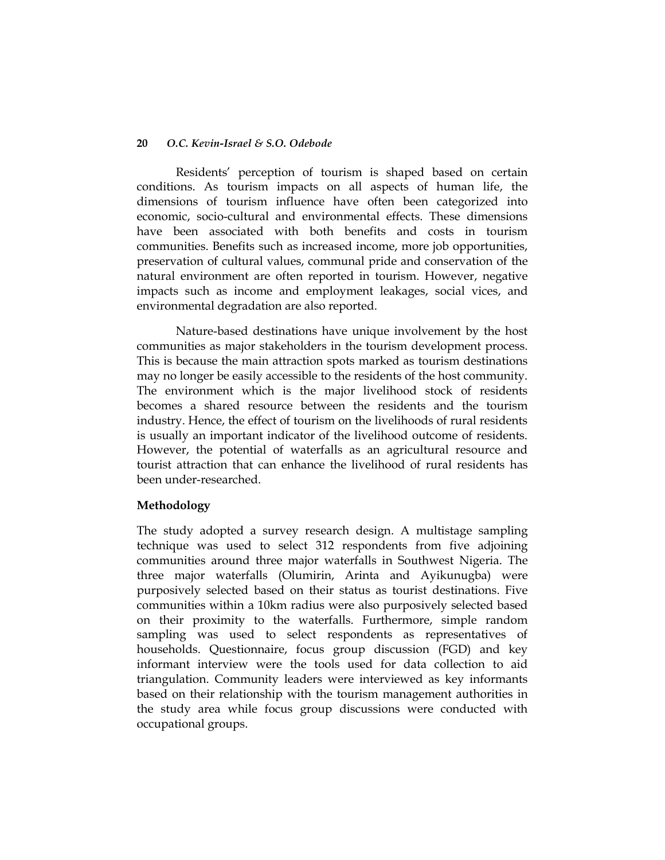Residents" perception of tourism is shaped based on certain conditions. As tourism impacts on all aspects of human life, the dimensions of tourism influence have often been categorized into economic, socio-cultural and environmental effects. These dimensions have been associated with both benefits and costs in tourism communities. Benefits such as increased income, more job opportunities, preservation of cultural values, communal pride and conservation of the natural environment are often reported in tourism. However, negative impacts such as income and employment leakages, social vices, and environmental degradation are also reported.

Nature-based destinations have unique involvement by the host communities as major stakeholders in the tourism development process. This is because the main attraction spots marked as tourism destinations may no longer be easily accessible to the residents of the host community. The environment which is the major livelihood stock of residents becomes a shared resource between the residents and the tourism industry. Hence, the effect of tourism on the livelihoods of rural residents is usually an important indicator of the livelihood outcome of residents. However, the potential of waterfalls as an agricultural resource and tourist attraction that can enhance the livelihood of rural residents has been under-researched.

## **Methodology**

The study adopted a survey research design. A multistage sampling technique was used to select 312 respondents from five adjoining communities around three major waterfalls in Southwest Nigeria. The three major waterfalls (Olumirin, Arinta and Ayikunugba) were purposively selected based on their status as tourist destinations. Five communities within a 10km radius were also purposively selected based on their proximity to the waterfalls. Furthermore, simple random sampling was used to select respondents as representatives of households. Questionnaire, focus group discussion (FGD) and key informant interview were the tools used for data collection to aid triangulation. Community leaders were interviewed as key informants based on their relationship with the tourism management authorities in the study area while focus group discussions were conducted with occupational groups.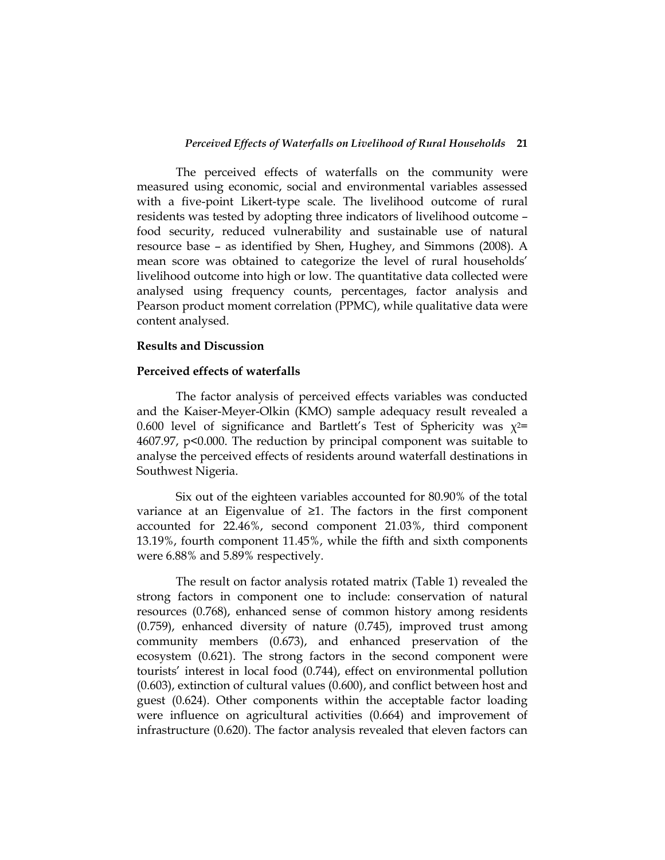The perceived effects of waterfalls on the community were measured using economic, social and environmental variables assessed with a five-point Likert-type scale. The livelihood outcome of rural residents was tested by adopting three indicators of livelihood outcome – food security, reduced vulnerability and sustainable use of natural resource base – as identified by Shen, Hughey, and Simmons (2008). A mean score was obtained to categorize the level of rural households" livelihood outcome into high or low. The quantitative data collected were analysed using frequency counts, percentages, factor analysis and Pearson product moment correlation (PPMC), while qualitative data were content analysed.

#### **Results and Discussion**

#### **Perceived effects of waterfalls**

The factor analysis of perceived effects variables was conducted and the Kaiser-Meyer-Olkin (KMO) sample adequacy result revealed a 0.600 level of significance and Bartlett's Test of Sphericity was  $x^{2}$ 4607.97, p<0.000. The reduction by principal component was suitable to analyse the perceived effects of residents around waterfall destinations in Southwest Nigeria.

Six out of the eighteen variables accounted for 80.90% of the total variance at an Eigenvalue of ≥1. The factors in the first component accounted for 22.46%, second component 21.03%, third component 13.19%, fourth component 11.45%, while the fifth and sixth components were 6.88% and 5.89% respectively.

The result on factor analysis rotated matrix (Table 1) revealed the strong factors in component one to include: conservation of natural resources (0.768), enhanced sense of common history among residents (0.759), enhanced diversity of nature (0.745), improved trust among community members (0.673), and enhanced preservation of the ecosystem (0.621). The strong factors in the second component were tourists" interest in local food (0.744), effect on environmental pollution (0.603), extinction of cultural values (0.600), and conflict between host and guest (0.624). Other components within the acceptable factor loading were influence on agricultural activities (0.664) and improvement of infrastructure (0.620). The factor analysis revealed that eleven factors can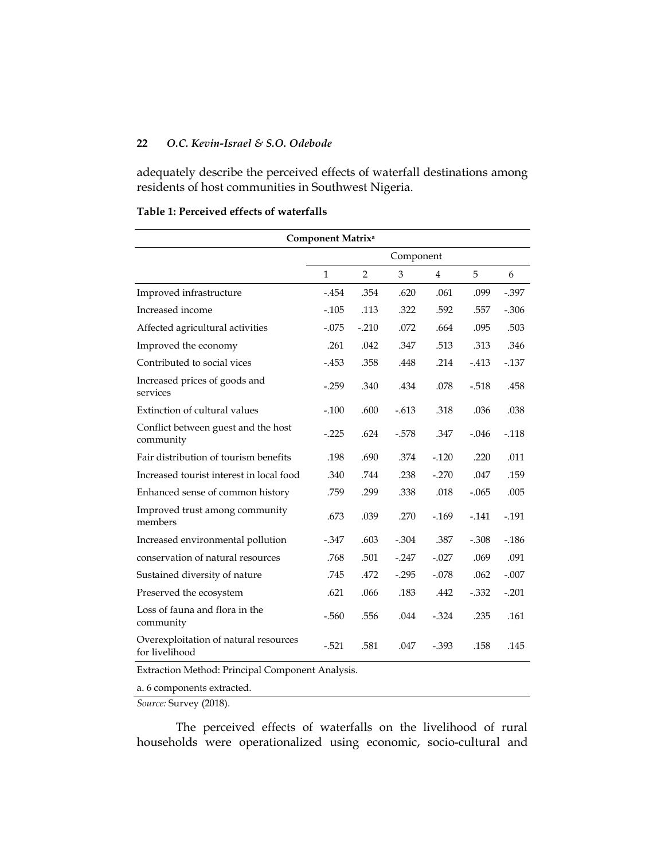adequately describe the perceived effects of waterfall destinations among residents of host communities in Southwest Nigeria.

### **Table 1: Perceived effects of waterfalls**

| <b>Component Matrixa</b>                                |              |                |           |          |         |          |  |  |
|---------------------------------------------------------|--------------|----------------|-----------|----------|---------|----------|--|--|
|                                                         |              |                | Component |          |         |          |  |  |
|                                                         | $\mathbf{1}$ | $\overline{2}$ | 3         | 4        | 5       | 6        |  |  |
| Improved infrastructure                                 | $-454$       | .354           | .620      | .061     | .099    | $-0.397$ |  |  |
| Increased income                                        | $-0.105$     | .113           | .322      | .592     | .557    | $-0.306$ |  |  |
| Affected agricultural activities                        | $-.075$      | $-.210$        | .072      | .664     | .095    | .503     |  |  |
| Improved the economy                                    | .261         | .042           | .347      | .513     | .313    | .346     |  |  |
| Contributed to social vices                             | $-453$       | .358           | .448      | .214     | $-413$  | $-137$   |  |  |
| Increased prices of goods and<br>services               | $-.259$      | .340           | .434      | .078     | $-518$  | .458     |  |  |
| Extinction of cultural values                           | $-.100$      | .600           | $-.613$   | .318     | .036    | .038     |  |  |
| Conflict between guest and the host<br>community        | $-.225$      | .624           | $-578$    | .347     | $-.046$ | $-.118$  |  |  |
| Fair distribution of tourism benefits                   | .198         | .690           | .374      | $-120$   | .220    | .011     |  |  |
| Increased tourist interest in local food                | .340         | .744           | .238      | $-.270$  | .047    | .159     |  |  |
| Enhanced sense of common history                        | .759         | .299           | .338      | .018     | $-.065$ | .005     |  |  |
| Improved trust among community<br>members               | .673         | .039           | .270      | $-169$   | $-141$  | $-191$   |  |  |
| Increased environmental pollution                       | $-0.347$     | .603           | $-0.304$  | .387     | $-.308$ | $-186$   |  |  |
| conservation of natural resources                       | .768         | .501           | $-0.247$  | $-.027$  | .069    | .091     |  |  |
| Sustained diversity of nature                           | .745         | .472           | $-0.295$  | $-.078$  | .062    | $-.007$  |  |  |
| Preserved the ecosystem                                 | .621         | .066           | .183      | .442     | $-332$  | $-.201$  |  |  |
| Loss of fauna and flora in the<br>community             | $-560$       | .556           | .044      | $-324$   | .235    | .161     |  |  |
| Overexploitation of natural resources<br>for livelihood | $-521$       | .581           | .047      | $-0.393$ | .158    | .145     |  |  |
|                                                         |              |                |           |          |         |          |  |  |

Extraction Method: Principal Component Analysis.

a. 6 components extracted.

*Source:* Survey (2018).

The perceived effects of waterfalls on the livelihood of rural households were operationalized using economic, socio-cultural and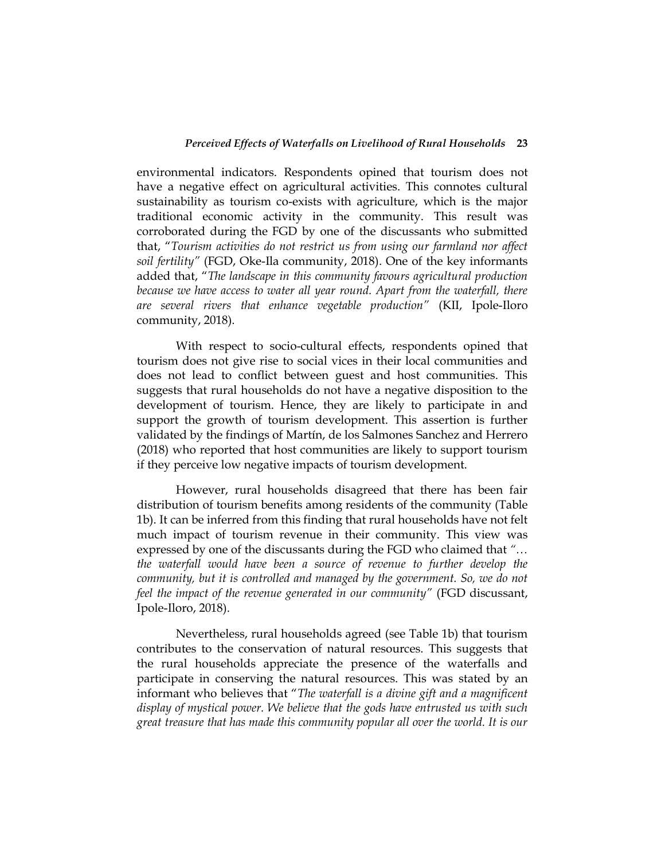environmental indicators. Respondents opined that tourism does not have a negative effect on agricultural activities. This connotes cultural sustainability as tourism co-exists with agriculture, which is the major traditional economic activity in the community. This result was corroborated during the FGD by one of the discussants who submitted that, "*Tourism activities do not restrict us from using our farmland nor affect soil fertility"* (FGD, Oke-Ila community, 2018). One of the key informants added that, "*The landscape in this community favours agricultural production*  because we have access to water all year round. Apart from the waterfall, there *are several rivers that enhance vegetable production"* (KII, Ipole-Iloro community, 2018).

With respect to socio-cultural effects, respondents opined that tourism does not give rise to social vices in their local communities and does not lead to conflict between guest and host communities. This suggests that rural households do not have a negative disposition to the development of tourism. Hence, they are likely to participate in and support the growth of tourism development. This assertion is further validated by the findings of Martín, de los Salmones Sanchez and Herrero (2018) who reported that host communities are likely to support tourism if they perceive low negative impacts of tourism development.

However, rural households disagreed that there has been fair distribution of tourism benefits among residents of the community (Table 1b). It can be inferred from this finding that rural households have not felt much impact of tourism revenue in their community. This view was expressed by one of the discussants during the FGD who claimed that *"… the waterfall would have been a source of revenue to further develop the community, but it is controlled and managed by the government. So, we do not feel the impact of the revenue generated in our community"* (FGD discussant, Ipole-Iloro, 2018).

Nevertheless, rural households agreed (see Table 1b) that tourism contributes to the conservation of natural resources. This suggests that the rural households appreciate the presence of the waterfalls and participate in conserving the natural resources. This was stated by an informant who believes that "*The waterfall is a divine gift and a magnificent display of mystical power. We believe that the gods have entrusted us with such great treasure that has made this community popular all over the world. It is our*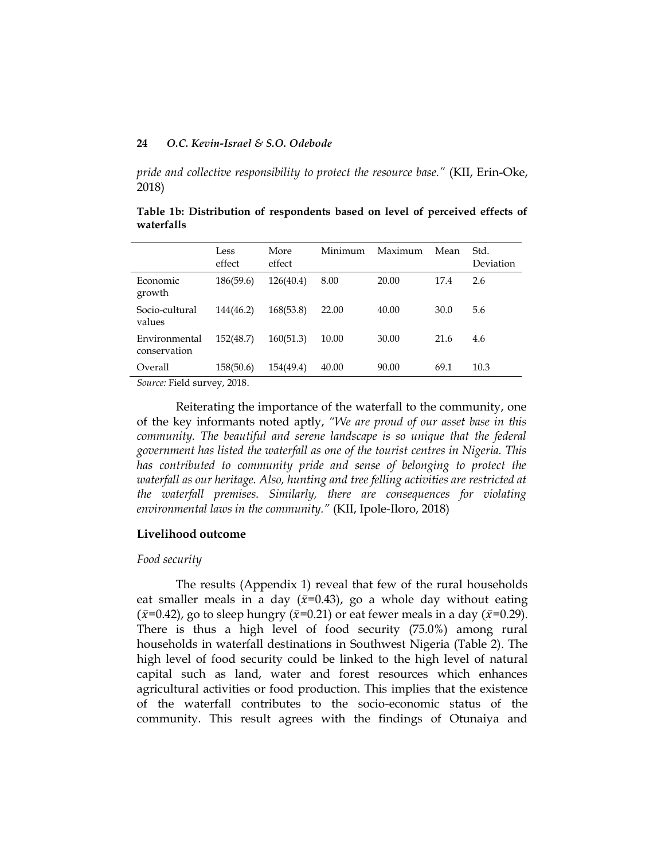*pride and collective responsibility to protect the resource base."* (KII, Erin-Oke, 2018)

|                               | Less<br>effect | More<br>effect | Minimum | Maximum | Mean | Std.<br>Deviation |
|-------------------------------|----------------|----------------|---------|---------|------|-------------------|
| Economic<br>growth            | 186(59.6)      | 126(40.4)      | 8.00    | 20.00   | 17.4 | 2.6               |
| Socio-cultural<br>values      | 144(46.2)      | 168(53.8)      | 22.00   | 40.00   | 30.0 | 5.6               |
| Environmental<br>conservation | 152(48.7)      | 160(51.3)      | 10.00   | 30.00   | 21.6 | 4.6               |
| Overall                       | 158(50.6)      | 154(49.4)      | 40.00   | 90.00   | 69.1 | 10.3              |

**Table 1b: Distribution of respondents based on level of perceived effects of waterfalls** 

*Source:* Field survey, 2018.

Reiterating the importance of the waterfall to the community, one of the key informants noted aptly, *"We are proud of our asset base in this community. The beautiful and serene landscape is so unique that the federal government has listed the waterfall as one of the tourist centres in Nigeria. This has contributed to community pride and sense of belonging to protect the waterfall as our heritage. Also, hunting and tree felling activities are restricted at the waterfall premises. Similarly, there are consequences for violating environmental laws in the community."* (KII, Ipole-Iloro, 2018)

#### **Livelihood outcome**

#### *Food security*

The results (Appendix 1) reveal that few of the rural households eat smaller meals in a day ( $\bar{x}=0.43$ ), go a whole day without eating  $(\bar{x}=0.42)$ , go to sleep hungry  $(\bar{x}=0.21)$  or eat fewer meals in a day  $(\bar{x}=0.29)$ . There is thus a high level of food security (75.0%) among rural households in waterfall destinations in Southwest Nigeria (Table 2). The high level of food security could be linked to the high level of natural capital such as land, water and forest resources which enhances agricultural activities or food production. This implies that the existence of the waterfall contributes to the socio-economic status of the community. This result agrees with the findings of Otunaiya and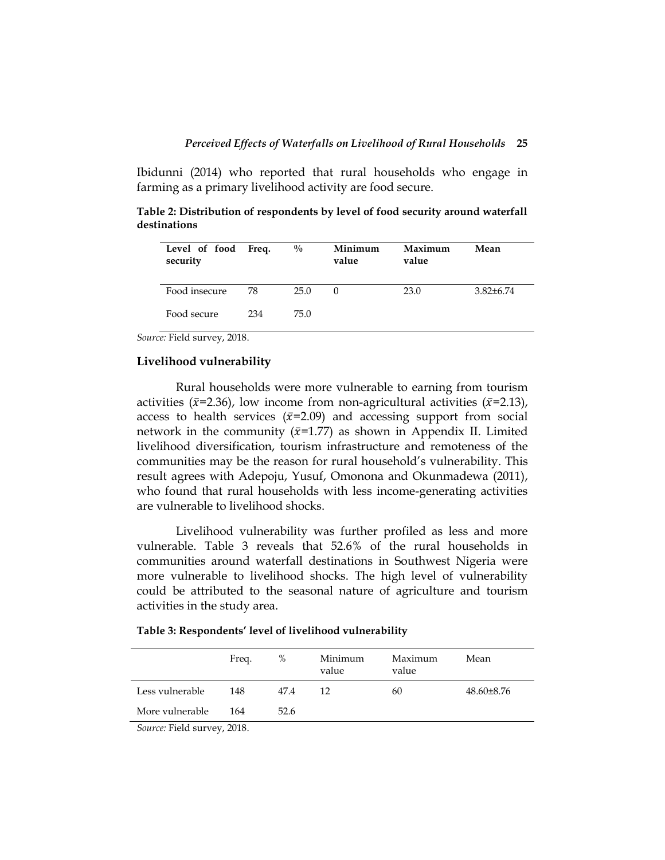Ibidunni (2014) who reported that rural households who engage in farming as a primary livelihood activity are food secure.

**Table 2: Distribution of respondents by level of food security around waterfall destinations**

| Level of food Freq.<br>security |     | $\frac{0}{0}$ | Minimum<br>value | Maximum<br>value | Mean           |
|---------------------------------|-----|---------------|------------------|------------------|----------------|
| Food insecure                   | 78  | 25.0          | $\theta$         | 23.0             | $3.82\pm 6.74$ |
| Food secure                     | 234 | 75.0          |                  |                  |                |

*Source:* Field survey, 2018.

#### **Livelihood vulnerability**

Rural households were more vulnerable to earning from tourism activities ( $\bar{x}$ =2.36), low income from non-agricultural activities ( $\bar{x}$ =2.13), access to health services ( $\bar{x}$ =2.09) and accessing support from social network in the community ( $\bar{x}$ =1.77) as shown in Appendix II. Limited livelihood diversification, tourism infrastructure and remoteness of the communities may be the reason for rural household"s vulnerability. This result agrees with Adepoju, Yusuf, Omonona and Okunmadewa (2011), who found that rural households with less income-generating activities are vulnerable to livelihood shocks.

Livelihood vulnerability was further profiled as less and more vulnerable. Table 3 reveals that 52.6% of the rural households in communities around waterfall destinations in Southwest Nigeria were more vulnerable to livelihood shocks. The high level of vulnerability could be attributed to the seasonal nature of agriculture and tourism activities in the study area.

**Table 3: Respondents' level of livelihood vulnerability** 

|                             | Freq. | %    | Minimum<br>value | Maximum<br>value | Mean           |  |  |
|-----------------------------|-------|------|------------------|------------------|----------------|--|--|
| Less vulnerable             | 148   | 47.4 | 12               | 60               | $48.60\pm8.76$ |  |  |
| More vulnerable             | 164   | 52.6 |                  |                  |                |  |  |
| Source: Field survey, 2018. |       |      |                  |                  |                |  |  |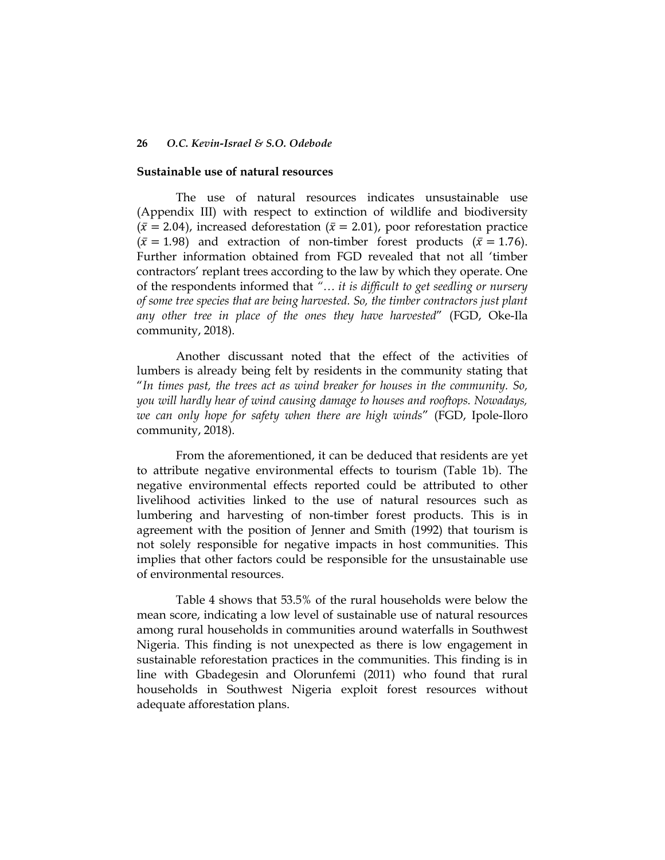#### **Sustainable use of natural resources**

The use of natural resources indicates unsustainable use (Appendix III) with respect to extinction of wildlife and biodiversity  $({\bar x} = 2.04)$ , increased deforestation  $({\bar x} = 2.01)$ , poor reforestation practice  $({\bar x} = 1.98)$  and extraction of non-timber forest products  $({\bar x} = 1.76)$ . Further information obtained from FGD revealed that not all "timber contractors" replant trees according to the law by which they operate. One of the respondents informed that *"… it is difficult to get seedling or nursery of some tree species that are being harvested. So, the timber contractors just plant any other tree in place of the ones they have harvested*" (FGD, Oke-Ila community, 2018).

Another discussant noted that the effect of the activities of lumbers is already being felt by residents in the community stating that "*In times past, the trees act as wind breaker for houses in the community. So, you will hardly hear of wind causing damage to houses and rooftops. Nowadays, we can only hope for safety when there are high winds*" (FGD, Ipole-Iloro community, 2018).

From the aforementioned, it can be deduced that residents are yet to attribute negative environmental effects to tourism (Table 1b). The negative environmental effects reported could be attributed to other livelihood activities linked to the use of natural resources such as lumbering and harvesting of non-timber forest products. This is in agreement with the position of Jenner and Smith (1992) that tourism is not solely responsible for negative impacts in host communities. This implies that other factors could be responsible for the unsustainable use of environmental resources.

Table 4 shows that 53.5% of the rural households were below the mean score, indicating a low level of sustainable use of natural resources among rural households in communities around waterfalls in Southwest Nigeria. This finding is not unexpected as there is low engagement in sustainable reforestation practices in the communities. This finding is in line with Gbadegesin and Olorunfemi (2011) who found that rural households in Southwest Nigeria exploit forest resources without adequate afforestation plans.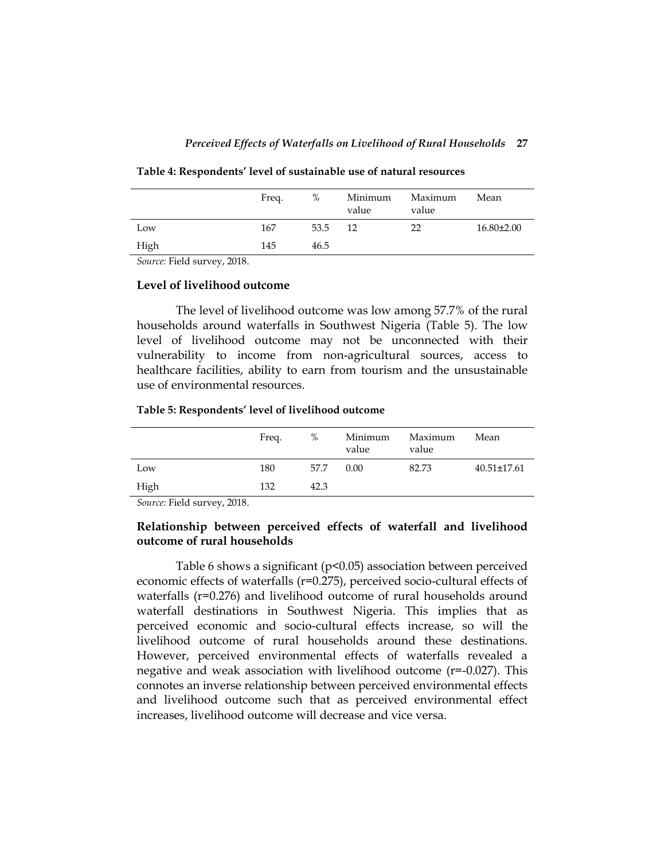|      | Freq. | %    | Minimum<br>value | Maximum<br>value | Mean             |
|------|-------|------|------------------|------------------|------------------|
| Low  | 167   | 53.5 | -12              | 22               | $16.80 \pm 2.00$ |
| High | 145   | 46.5 |                  |                  |                  |

**Table 4: Respondents' level of sustainable use of natural resources**

*Source:* Field survey, 2018.

#### **Level of livelihood outcome**

The level of livelihood outcome was low among 57.7% of the rural households around waterfalls in Southwest Nigeria (Table 5). The low level of livelihood outcome may not be unconnected with their vulnerability to income from non-agricultural sources, access to healthcare facilities, ability to earn from tourism and the unsustainable use of environmental resources.

#### **Table 5: Respondents' level of livelihood outcome**

|      | Freq. | %    | Minimum<br>value | Maximum<br>value | Mean              |
|------|-------|------|------------------|------------------|-------------------|
| Low  | 180   | 57.7 | 0.00             | 82.73            | $40.51 \pm 17.61$ |
| High | 132   | 42.3 |                  |                  |                   |

*Source:* Field survey, 2018.

## **Relationship between perceived effects of waterfall and livelihood outcome of rural households**

Table 6 shows a significant (p<0.05) association between perceived economic effects of waterfalls (r=0.275), perceived socio-cultural effects of waterfalls (r=0.276) and livelihood outcome of rural households around waterfall destinations in Southwest Nigeria. This implies that as perceived economic and socio-cultural effects increase, so will the livelihood outcome of rural households around these destinations. However, perceived environmental effects of waterfalls revealed a negative and weak association with livelihood outcome (r=-0.027). This connotes an inverse relationship between perceived environmental effects and livelihood outcome such that as perceived environmental effect increases, livelihood outcome will decrease and vice versa.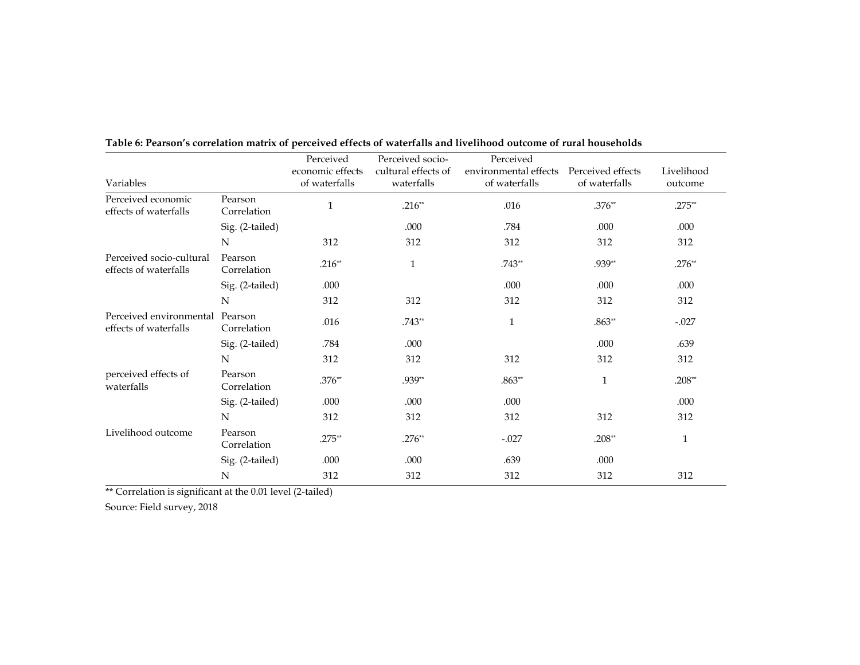|                                                          |                        | Perceived        | Perceived socio-    | Perceived             |                   |            |
|----------------------------------------------------------|------------------------|------------------|---------------------|-----------------------|-------------------|------------|
|                                                          |                        | economic effects | cultural effects of | environmental effects | Perceived effects | Livelihood |
| Variables                                                |                        | of waterfalls    | waterfalls          | of waterfalls         | of waterfalls     | outcome    |
| Perceived economic<br>effects of waterfalls              | Pearson<br>Correlation | $\mathbf{1}$     | $.216**$            | .016                  | $.376**$          | $.275**$   |
|                                                          | Sig. (2-tailed)        |                  | .000                | .784                  | .000              | .000       |
|                                                          | N                      | 312              | 312                 | 312                   | 312               | 312        |
| Perceived socio-cultural<br>effects of waterfalls        | Pearson<br>Correlation | $.216**$         | $\mathbf{1}$        | $.743**$              | .939**            | $.276**$   |
|                                                          | Sig. (2-tailed)        | .000             |                     | .000                  | .000              | .000       |
|                                                          | N                      | 312              | 312                 | 312                   | 312               | 312        |
| Perceived environmental Pearson<br>effects of waterfalls | Correlation            | .016             | $.743**$            | $\mathbf{1}$          | $.863**$          | $-.027$    |
|                                                          | Sig. (2-tailed)        | .784             | .000                |                       | .000              | .639       |
|                                                          | N                      | 312              | 312                 | 312                   | 312               | 312        |
| perceived effects of<br>waterfalls                       | Pearson<br>Correlation | $.376**$         | .939**              | $.863**$              | $\mathbf{1}$      | $.208**$   |
|                                                          | Sig. (2-tailed)        | .000             | .000                | .000                  |                   | .000       |
|                                                          | N                      | 312              | 312                 | 312                   | 312               | 312        |
| Livelihood outcome                                       | Pearson<br>Correlation | $.275**$         | $.276**$            | $-.027$               | $.208**$          | 1          |
|                                                          | Sig. (2-tailed)        | .000             | .000                | .639                  | .000              |            |
|                                                          | N                      | 312              | 312                 | 312                   | 312               | 312        |

**Table 6: Pearson's correlation matrix of perceived effects of waterfalls and livelihood outcome of rural households**

\*\* Correlation is significant at the 0.01 level (2-tailed)

Source: Field survey, 2018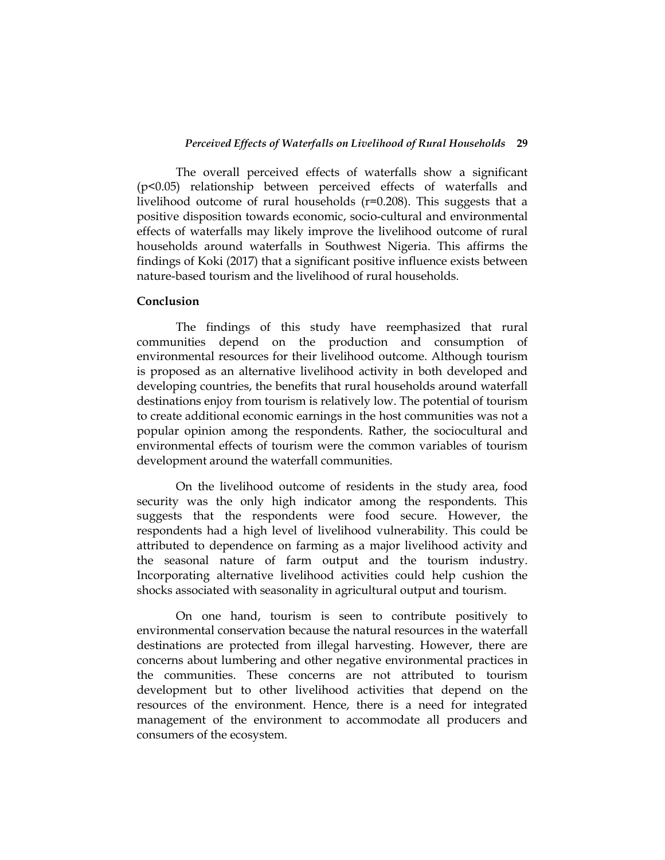The overall perceived effects of waterfalls show a significant (p<0.05) relationship between perceived effects of waterfalls and livelihood outcome of rural households (r=0.208). This suggests that a positive disposition towards economic, socio-cultural and environmental effects of waterfalls may likely improve the livelihood outcome of rural households around waterfalls in Southwest Nigeria. This affirms the findings of Koki (2017) that a significant positive influence exists between nature-based tourism and the livelihood of rural households.

#### **Conclusion**

The findings of this study have reemphasized that rural communities depend on the production and consumption of environmental resources for their livelihood outcome. Although tourism is proposed as an alternative livelihood activity in both developed and developing countries, the benefits that rural households around waterfall destinations enjoy from tourism is relatively low. The potential of tourism to create additional economic earnings in the host communities was not a popular opinion among the respondents. Rather, the sociocultural and environmental effects of tourism were the common variables of tourism development around the waterfall communities.

On the livelihood outcome of residents in the study area, food security was the only high indicator among the respondents. This suggests that the respondents were food secure. However, the respondents had a high level of livelihood vulnerability. This could be attributed to dependence on farming as a major livelihood activity and the seasonal nature of farm output and the tourism industry. Incorporating alternative livelihood activities could help cushion the shocks associated with seasonality in agricultural output and tourism.

On one hand, tourism is seen to contribute positively to environmental conservation because the natural resources in the waterfall destinations are protected from illegal harvesting. However, there are concerns about lumbering and other negative environmental practices in the communities. These concerns are not attributed to tourism development but to other livelihood activities that depend on the resources of the environment. Hence, there is a need for integrated management of the environment to accommodate all producers and consumers of the ecosystem.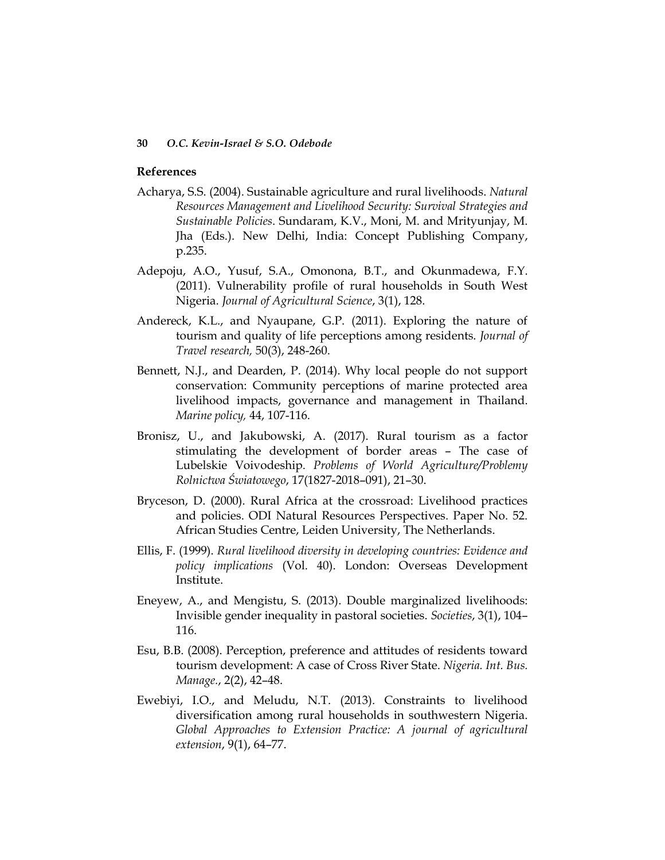#### **References**

- Acharya, S.S. (2004). Sustainable agriculture and rural livelihoods. *Natural Resources Management and Livelihood Security: Survival Strategies and Sustainable Policies*. Sundaram, K.V., Moni, M. and Mrityunjay, M. Jha (Eds.). New Delhi, India: Concept Publishing Company, p.235.
- Adepoju, A.O., Yusuf, S.A., Omonona, B.T., and Okunmadewa, F.Y. (2011). Vulnerability profile of rural households in South West Nigeria. *Journal of Agricultural Science*, 3(1), 128.
- Andereck, K.L., and Nyaupane, G.P. (2011). Exploring the nature of tourism and quality of life perceptions among residents. *Journal of Travel research,* 50(3), 248-260.
- Bennett, N.J., and Dearden, P. (2014). Why local people do not support conservation: Community perceptions of marine protected area livelihood impacts, governance and management in Thailand. *Marine policy,* 44, 107-116.
- Bronisz, U., and Jakubowski, A. (2017). Rural tourism as a factor stimulating the development of border areas – The case of Lubelskie Voivodeship. *Problems of World Agriculture/Problemy Rolnictwa Światowego*, 17(1827-2018–091), 21–30.
- Bryceson, D. (2000). Rural Africa at the crossroad: Livelihood practices and policies. ODI Natural Resources Perspectives. Paper No. 52. African Studies Centre, Leiden University, The Netherlands.
- Ellis, F. (1999). *Rural livelihood diversity in developing countries: Evidence and policy implications* (Vol. 40). London: Overseas Development Institute.
- Eneyew, A., and Mengistu, S. (2013). Double marginalized livelihoods: Invisible gender inequality in pastoral societies. *Societies*, 3(1), 104– 116.
- Esu, B.B. (2008). Perception, preference and attitudes of residents toward tourism development: A case of Cross River State. *Nigeria. Int. Bus. Manage.*, 2(2), 42–48.
- Ewebiyi, I.O., and Meludu, N.T. (2013). Constraints to livelihood diversification among rural households in southwestern Nigeria. Global Approaches to Extension Practice: A journal of agricultural *extension*, 9(1), 64–77.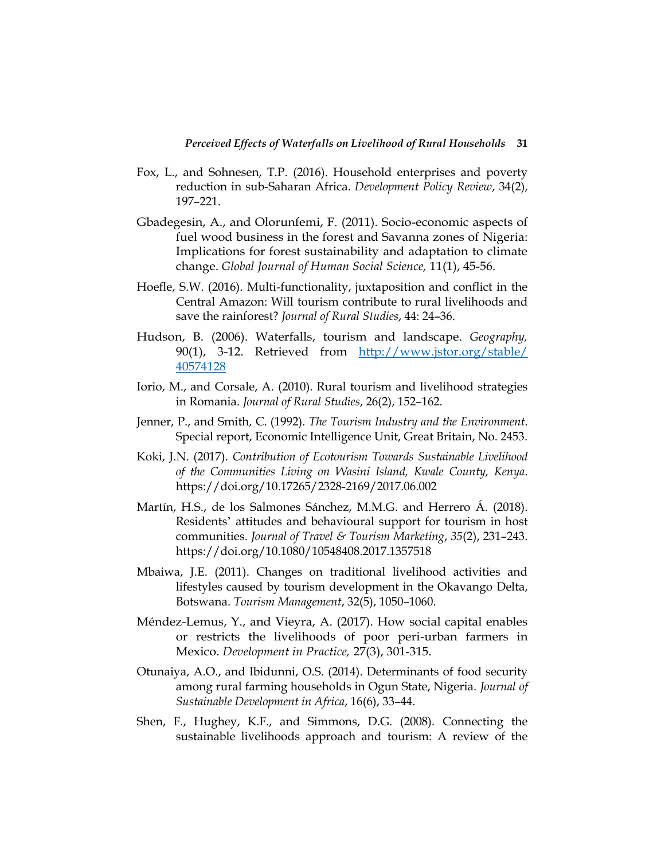- Fox, L., and Sohnesen, T.P. (2016). Household enterprises and poverty reduction in sub-Saharan Africa. *Development Policy Review*, 34(2), 197–221.
- Gbadegesin, A., and Olorunfemi, F. (2011). Socio-economic aspects of fuel wood business in the forest and Savanna zones of Nigeria: Implications for forest sustainability and adaptation to climate change. *Global Journal of Human Social Science,* 11(1), 45-56.
- Hoefle, S.W. (2016). Multi-functionality, juxtaposition and conflict in the Central Amazon: Will tourism contribute to rural livelihoods and save the rainforest? *Journal of Rural Studies*, 44: 24–36.
- Hudson, B. (2006). Waterfalls, tourism and landscape. *Geography,* 90(1), 3-12. Retrieved from http://www.jstor.org/stable/ [40574128](http://www.jstor.org/stable/%2040574128)
- Iorio, M., and Corsale, A. (2010). Rural tourism and livelihood strategies in Romania. *Journal of Rural Studies*, 26(2), 152–162.
- Jenner, P., and Smith, C. (1992). *The Tourism Industry and the Environment*. Special report, Economic Intelligence Unit, Great Britain, No. 2453.
- Koki, J.N. (2017). *Contribution of Ecotourism Towards Sustainable Livelihood of the Communities Living on Wasini Island, Kwale County, Kenya*. https://doi.org/10.17265/2328-2169/2017.06.002
- Martín, H.S., de los Salmones Sánchez, M.M.G. and Herrero Á. (2018). Residents' attitudes and behavioural support for tourism in host communities. *Journal of Travel & Tourism Marketing*, *35*(2), 231–243. https://doi.org/10.1080/10548408.2017.1357518
- Mbaiwa, J.E. (2011). Changes on traditional livelihood activities and lifestyles caused by tourism development in the Okavango Delta, Botswana. *Tourism Management*, 32(5), 1050–1060.
- Méndez-Lemus, Y., and Vieyra, A. (2017). How social capital enables or restricts the livelihoods of poor peri-urban farmers in Mexico. *Development in Practice,* 27(3), 301-315.
- Otunaiya, A.O., and Ibidunni, O.S. (2014). Determinants of food security among rural farming households in Ogun State, Nigeria. *Journal of Sustainable Development in Africa*, 16(6), 33–44.
- Shen, F., Hughey, K.F., and Simmons, D.G. (2008). Connecting the sustainable livelihoods approach and tourism: A review of the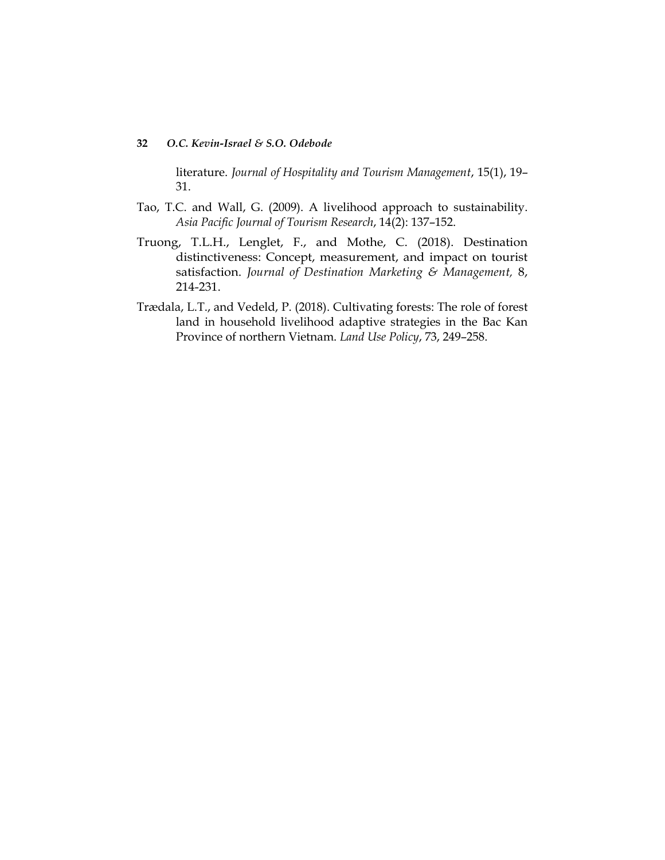literature. *Journal of Hospitality and Tourism Management*, 15(1), 19– 31.

- Tao, T.C. and Wall, G. (2009). A livelihood approach to sustainability. *Asia Pacific Journal of Tourism Research*, 14(2): 137–152.
- Truong, T.L.H., Lenglet, F., and Mothe, C. (2018). Destination distinctiveness: Concept, measurement, and impact on tourist satisfaction. *Journal of Destination Marketing & Management,* 8, 214-231.
- Trædala, L.T., and Vedeld, P. (2018). Cultivating forests: The role of forest land in household livelihood adaptive strategies in the Bac Kan Province of northern Vietnam. *Land Use Policy*, 73, 249–258.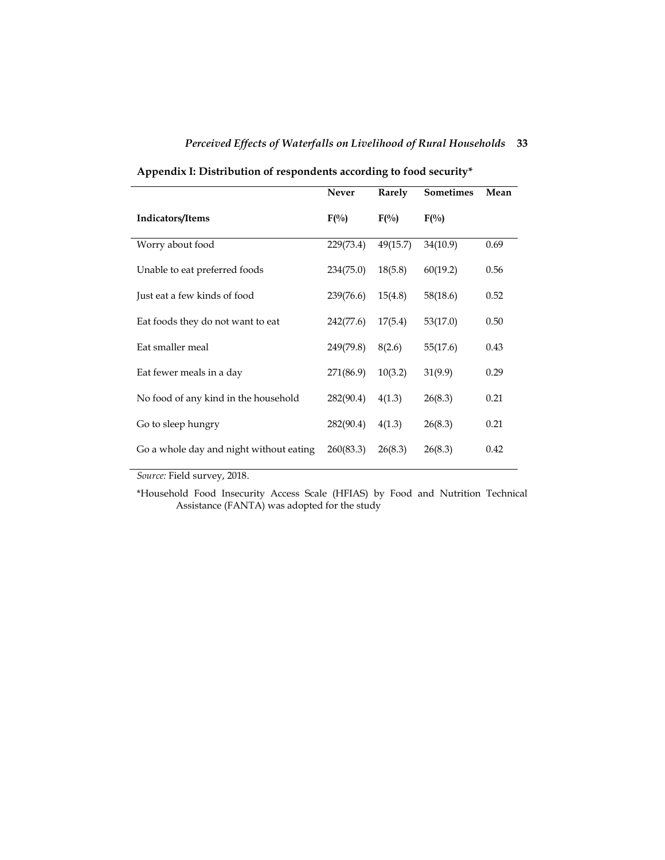|                                         | <b>Never</b> | Rarely           | <b>Sometimes</b> | Mean |
|-----------------------------------------|--------------|------------------|------------------|------|
| <b>Indicators/Items</b>                 | $F(\%)$      | $F(\frac{0}{0})$ | $F(\%)$          |      |
| Worry about food                        | 229(73.4)    | 49(15.7)         | 34(10.9)         | 0.69 |
| Unable to eat preferred foods           | 234(75.0)    | 18(5.8)          | 60(19.2)         | 0.56 |
| Just eat a few kinds of food            | 239(76.6)    | 15(4.8)          | 58(18.6)         | 0.52 |
| Eat foods they do not want to eat       | 242(77.6)    | 17(5.4)          | 53(17.0)         | 0.50 |
| Eat smaller meal                        | 249(79.8)    | 8(2.6)           | 55(17.6)         | 0.43 |
| Eat fewer meals in a day                | 271(86.9)    | 10(3.2)          | 31(9.9)          | 0.29 |
| No food of any kind in the household    | 282(90.4)    | 4(1.3)           | 26(8.3)          | 0.21 |
| Go to sleep hungry                      | 282(90.4)    | 4(1.3)           | 26(8.3)          | 0.21 |
| Go a whole day and night without eating | 260(83.3)    | 26(8.3)          | 26(8.3)          | 0.42 |

**Appendix I: Distribution of respondents according to food security\***

*Source:* Field survey, 2018.

\*Household Food Insecurity Access Scale (HFIAS) by Food and Nutrition Technical Assistance (FANTA) was adopted for the study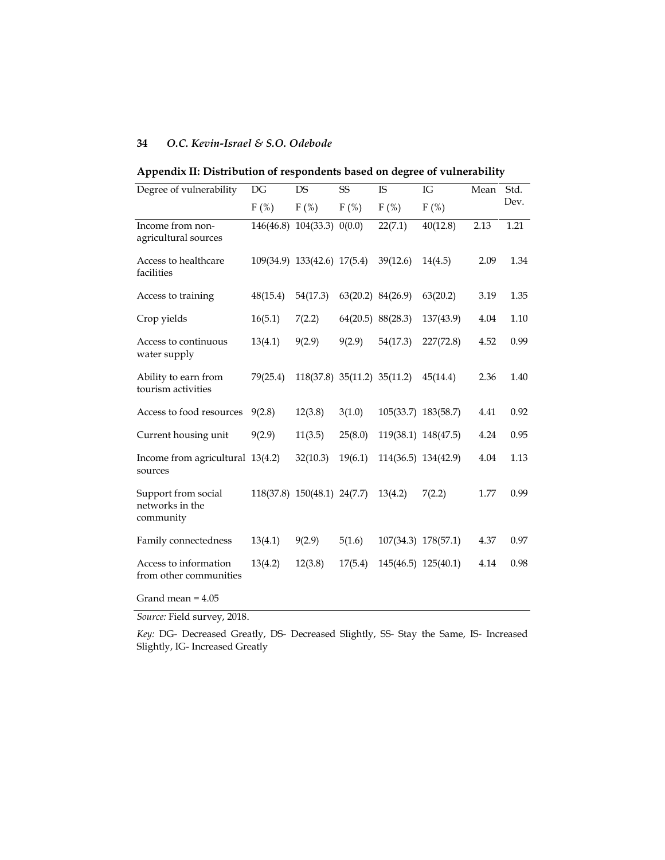| Degree of vulnerability                             | DG       | <b>DS</b>                                   | <b>SS</b> | <b>IS</b>                                    | IG                  | Mean | Std. |
|-----------------------------------------------------|----------|---------------------------------------------|-----------|----------------------------------------------|---------------------|------|------|
|                                                     | $F(\%)$  | $F(\%)$                                     | $F(\%)$   | $F$ (%)                                      | $F(\%)$             |      | Dev. |
| Income from non-<br>agricultural sources            |          | 146(46.8) 104(33.3) 0(0.0)                  |           | 22(7.1)                                      | 40(12.8)            | 2.13 | 1.21 |
| Access to healthcare<br>facilities                  |          |                                             |           | 109(34.9) 133(42.6) 17(5.4) 39(12.6) 14(4.5) |                     | 2.09 | 1.34 |
| Access to training                                  | 48(15.4) | 54(17.3)                                    |           | 63(20.2) 84(26.9)                            | 63(20.2)            | 3.19 | 1.35 |
| Crop yields                                         | 16(5.1)  | 7(2.2)                                      |           | $64(20.5)$ 88(28.3)                          | 137(43.9)           | 4.04 | 1.10 |
| Access to continuous<br>water supply                | 13(4.1)  | 9(2.9)                                      | 9(2.9)    | 54(17.3)                                     | 227(72.8)           | 4.52 | 0.99 |
| Ability to earn from<br>tourism activities          | 79(25.4) |                                             |           | 118(37.8) 35(11.2) 35(11.2) 45(14.4)         |                     | 2.36 | 1.40 |
| Access to food resources                            | 9(2.8)   | 12(3.8)                                     | 3(1.0)    | 105(33.7) 183(58.7)                          |                     | 4.41 | 0.92 |
| Current housing unit                                | 9(2.9)   | 11(3.5)                                     | 25(8.0)   |                                              | 119(38.1) 148(47.5) | 4.24 | 0.95 |
| Income from agricultural 13(4.2)<br>sources         |          | 32(10.3)                                    | 19(6.1)   |                                              | 114(36.5) 134(42.9) | 4.04 | 1.13 |
| Support from social<br>networks in the<br>community |          | $118(37.8)$ $150(48.1)$ $24(7.7)$ $13(4.2)$ |           |                                              | 7(2.2)              | 1.77 | 0.99 |
| Family connectedness                                | 13(4.1)  | 9(2.9)                                      | 5(1.6)    |                                              | 107(34.3) 178(57.1) | 4.37 | 0.97 |
| Access to information<br>from other communities     | 13(4.2)  | 12(3.8)                                     | 17(5.4)   | 145(46.5) 125(40.1)                          |                     | 4.14 | 0.98 |

#### **Appendix II: Distribution of respondents based on degree of vulnerability**

*Source:* Field survey, 2018.

Grand mean = 4.05

*Key:* DG- Decreased Greatly, DS- Decreased Slightly, SS- Stay the Same, IS- Increased Slightly, IG- Increased Greatly